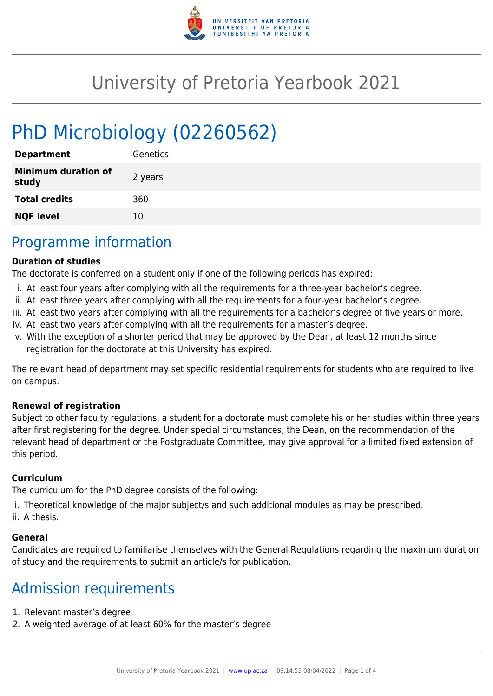

# University of Pretoria Yearbook 2021

# PhD Microbiology (02260562)

| <b>Department</b>                   | Genetics |
|-------------------------------------|----------|
| <b>Minimum duration of</b><br>study | 2 years  |
| <b>Total credits</b>                | 360      |
| <b>NQF level</b>                    | 10       |

## Programme information

#### **Duration of studies**

The doctorate is conferred on a student only if one of the following periods has expired:

- i. At least four years after complying with all the requirements for a three-year bachelor's degree.
- ii. At least three years after complying with all the requirements for a four-year bachelor's degree.
- iii. At least two years after complying with all the requirements for a bachelor's degree of five years or more.
- iv. At least two years after complying with all the requirements for a master's degree.
- v. With the exception of a shorter period that may be approved by the Dean, at least 12 months since registration for the doctorate at this University has expired.

The relevant head of department may set specific residential requirements for students who are required to live on campus.

#### **Renewal of registration**

Subject to other faculty regulations, a student for a doctorate must complete his or her studies within three years after first registering for the degree. Under special circumstances, the Dean, on the recommendation of the relevant head of department or the Postgraduate Committee, may give approval for a limited fixed extension of this period.

#### **Curriculum**

The curriculum for the PhD degree consists of the following:

- i. Theoretical knowledge of the major subject/s and such additional modules as may be prescribed.
- ii. A thesis.

#### **General**

Candidates are required to familiarise themselves with the General Regulations regarding the maximum duration of study and the requirements to submit an article/s for publication.

## Admission requirements

- 1. Relevant master's degree
- 2. A weighted average of at least 60% for the master's degree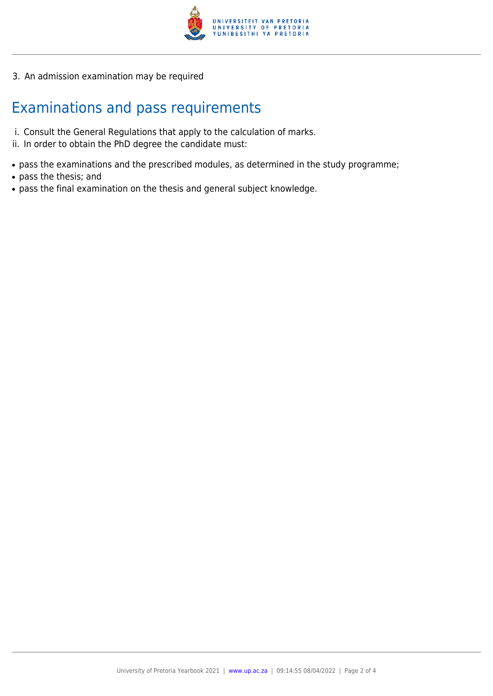

3. An admission examination may be required

# Examinations and pass requirements

- i. Consult the General Regulations that apply to the calculation of marks.
- ii. In order to obtain the PhD degree the candidate must:
- pass the examinations and the prescribed modules, as determined in the study programme;
- pass the thesis; and
- pass the final examination on the thesis and general subject knowledge.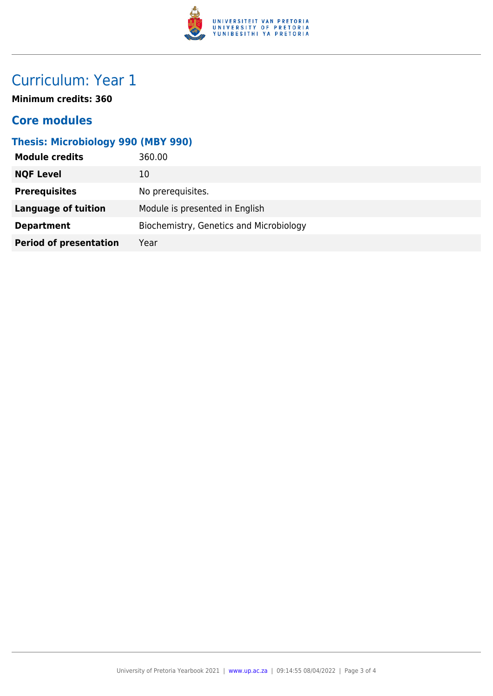

# Curriculum: Year 1

**Minimum credits: 360**

#### **Core modules**

### **Thesis: Microbiology 990 (MBY 990)**

| <b>Module credits</b>         | 360.00                                  |
|-------------------------------|-----------------------------------------|
| <b>NQF Level</b>              | 10                                      |
| <b>Prerequisites</b>          | No prerequisites.                       |
| Language of tuition           | Module is presented in English          |
| <b>Department</b>             | Biochemistry, Genetics and Microbiology |
| <b>Period of presentation</b> | Year                                    |